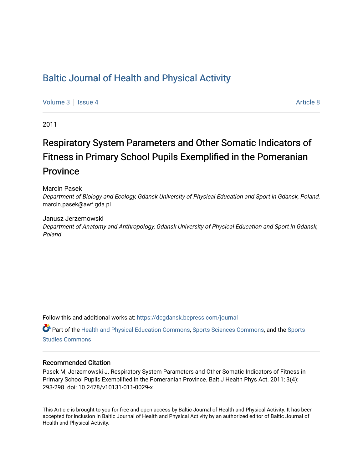# [Baltic Journal of Health and Physical Activity](https://dcgdansk.bepress.com/journal)

[Volume 3](https://dcgdansk.bepress.com/journal/vol3) | [Issue 4](https://dcgdansk.bepress.com/journal/vol3/iss4) Article 8

2011

# Respiratory System Parameters and Other Somatic Indicators of Fitness in Primary School Pupils Exemplified in the Pomeranian Province

Marcin Pasek

Department of Biology and Ecology, Gdansk University of Physical Education and Sport in Gdansk, Poland, marcin.pasek@awf.gda.pl

Janusz Jerzemowski Department of Anatomy and Anthropology, Gdansk University of Physical Education and Sport in Gdansk, Poland

Follow this and additional works at: [https://dcgdansk.bepress.com/journal](https://dcgdansk.bepress.com/journal?utm_source=dcgdansk.bepress.com%2Fjournal%2Fvol3%2Fiss4%2F8&utm_medium=PDF&utm_campaign=PDFCoverPages)

Part of the [Health and Physical Education Commons](http://network.bepress.com/hgg/discipline/1327?utm_source=dcgdansk.bepress.com%2Fjournal%2Fvol3%2Fiss4%2F8&utm_medium=PDF&utm_campaign=PDFCoverPages), [Sports Sciences Commons](http://network.bepress.com/hgg/discipline/759?utm_source=dcgdansk.bepress.com%2Fjournal%2Fvol3%2Fiss4%2F8&utm_medium=PDF&utm_campaign=PDFCoverPages), and the [Sports](http://network.bepress.com/hgg/discipline/1198?utm_source=dcgdansk.bepress.com%2Fjournal%2Fvol3%2Fiss4%2F8&utm_medium=PDF&utm_campaign=PDFCoverPages)  [Studies Commons](http://network.bepress.com/hgg/discipline/1198?utm_source=dcgdansk.bepress.com%2Fjournal%2Fvol3%2Fiss4%2F8&utm_medium=PDF&utm_campaign=PDFCoverPages) 

#### Recommended Citation

Pasek M, Jerzemowski J. Respiratory System Parameters and Other Somatic Indicators of Fitness in Primary School Pupils Exemplified in the Pomeranian Province. Balt J Health Phys Act. 2011; 3(4): 293-298. doi: 10.2478/v10131-011-0029-x

This Article is brought to you for free and open access by Baltic Journal of Health and Physical Activity. It has been accepted for inclusion in Baltic Journal of Health and Physical Activity by an authorized editor of Baltic Journal of Health and Physical Activity.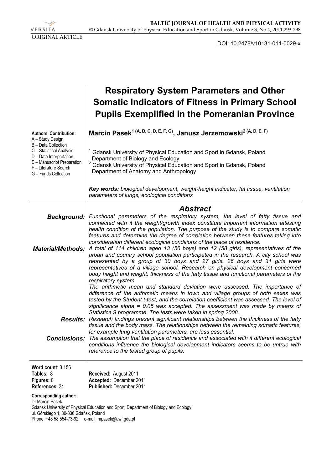VERSITA ORIGINAL ARTICLE

DOI: 10.2478/v10131-011-0029-x

|                                                                                                                                                           | <b>Respiratory System Parameters and Other</b><br><b>Somatic Indicators of Fitness in Primary School</b><br><b>Pupils Exemplified in the Pomeranian Province</b>                                                                                                                                                                                                                                                                                            |
|-----------------------------------------------------------------------------------------------------------------------------------------------------------|-------------------------------------------------------------------------------------------------------------------------------------------------------------------------------------------------------------------------------------------------------------------------------------------------------------------------------------------------------------------------------------------------------------------------------------------------------------|
| <b>Authors' Contribution:</b><br>A – Study Design                                                                                                         | Marcin Pasek <sup>1 (A, B, C, D, E, F, G)</sup> , Janusz Jerzemowski <sup>2 (A, D, E, F)</sup>                                                                                                                                                                                                                                                                                                                                                              |
| B - Data Collection<br>C - Statistical Analysis<br>D - Data Interpretation<br>E - Manuscript Preparation<br>F - Literature Search<br>G - Funds Collection | Gdansk University of Physical Education and Sport in Gdansk, Poland<br>Department of Biology and Ecology<br>2<br>Gdansk University of Physical Education and Sport in Gdansk, Poland<br>Department of Anatomy and Anthropology                                                                                                                                                                                                                              |
|                                                                                                                                                           | Key words: biological development, weight-height indicator, fat tissue, ventilation<br>parameters of lungs, ecological conditions                                                                                                                                                                                                                                                                                                                           |
|                                                                                                                                                           | <b>Abstract</b>                                                                                                                                                                                                                                                                                                                                                                                                                                             |
| Background:                                                                                                                                               | Functional parameters of the respiratory system, the level of fatty tissue and<br>connected with it the weight/growth index constitute important information attesting<br>health condition of the population. The purpose of the study is to compare somatic<br>features and determine the degree of correlation between these features taking into<br>consideration different ecological conditions of the place of residence.                             |
| <b>Material/Methods:</b>                                                                                                                                  | A total of 114 children aged 13 (56 boys) and 12 (58 girls), representatives of the<br>urban and country school population participated in the research. A city school was<br>represented by a group of 30 boys and 27 girls. 26 boys and 31 girls were<br>representatives of a village school. Research on physical development concerned<br>body height and weight, thickness of the fatty tissue and functional parameters of the<br>respiratory system. |
|                                                                                                                                                           | The arithmetic mean and standard deviation were assessed. The importance of<br>difference of the arithmetic means in town and village groups of both sexes was<br>tested by the Student t-test, and the correlation coefficient was assessed. The level of<br>significance alpha = 0.05 was accepted. The assessment was made by means of<br>Statistica 9 programme. The tests were taken in spring 2008.                                                   |
| <b>Results:</b>                                                                                                                                           | Research findings present significant relationships between the thickness of the fatty<br>tissue and the body mass. The relationships between the remaining somatic features,                                                                                                                                                                                                                                                                               |
| <b>Conclusions:</b>                                                                                                                                       | for example lung ventilation parameters, are less essential.<br>The assumption that the place of residence and associated with it different ecological<br>conditions influence the biological development indicators seems to be untrue with<br>reference to the tested group of pupils.                                                                                                                                                                    |
| Word count: 3,156                                                                                                                                         |                                                                                                                                                                                                                                                                                                                                                                                                                                                             |
| Tables: 8                                                                                                                                                 | Received: August 2011                                                                                                                                                                                                                                                                                                                                                                                                                                       |
| Figures: 0<br>References: 34                                                                                                                              | Accepted: December 2011<br>Published: December 2011                                                                                                                                                                                                                                                                                                                                                                                                         |

**Corresponding author:**  Dr Marcin Pasek Gdansk University of Physical Education and Sport, Department of Biology and Ecology ul. Górskiego 1, 80-336 Gdańsk, Poland Phone: +48 58 554-73-92 e-mail: mpasek@awf.gda.pl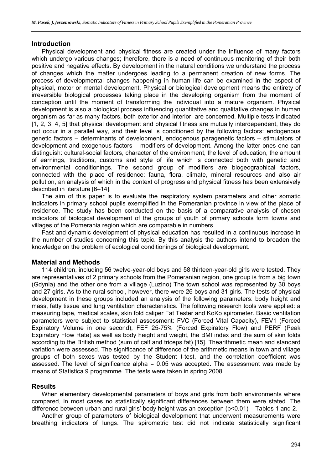## **Introduction**

Physical development and physical fitness are created under the influence of many factors which undergo various changes; therefore, there is a need of continuous monitoring of their both positive and negative effects. By development in the natural conditions we understand the process of changes which the matter undergoes leading to a permanent creation of new forms. The process of developmental changes happening in human life can be examined in the aspect of physical, motor or mental development. Physical or biological development means the entirety of irreversible biological processes taking place in the developing organism from the moment of conception until the moment of transforming the individual into a mature organism. Physical development is also a biological process influencing quantitative and qualitative changes in human organism as far as many factors, both exterior and interior, are concerned. Multiple tests indicated [1, 2, 3, 4, 5] that physical development and physical fitness are mutually interdependent, they do not occur in a parallel way, and their level is conditioned by the following factors: endogenous genetic factors – determinants of development, endogenous paragenetic factors – stimulators of development and exogenous factors – modifiers of development. Among the latter ones one can distinguish: cultural-social factors, character of the environment, the level of education, the amount of earnings, traditions, customs and style of life which is connected both with genetic and environmental conditionings. The second group of modifiers are biogeographical factors, connected with the place of residence: fauna, flora, climate, mineral resources and also air pollution, an analysis of which in the context of progress and physical fitness has been extensively described in literature [6–14].

The aim of this paper is to evaluate the respiratory system parameters and other somatic indicators in primary school pupils exemplified in the Pomeranian province in view of the place of residence. The study has been conducted on the basis of a comparative analysis of chosen indicators of biological development of the groups of youth of primary schools form towns and villages of the Pomerania region which are comparable in numbers.

Fast and dynamic development of physical education has resulted in a continuous increase in the number of studies concerning this topic. By this analysis the authors intend to broaden the knowledge on the problem of ecological conditionings of biological development.

## **Material and Methods**

114 children, including 56 twelve-year-old boys and 58 thirteen-year-old girls were tested. They are representatives of 2 primary schools from the Pomeranian region, one group is from a big town (Gdynia) and the other one from a village (Luzino) The town school was represented by 30 boys and 27 girls. As to the rural school, however, there were 26 boys and 31 girls. The tests of physical development in these groups included an analysis of the following parameters: body height and mass, fatty tissue and lung ventilation characteristics. The following research tools were applied: a measuring tape, medical scales, skin fold caliper Fat Tester and KoKo spirometer. Basic ventilation parameters were subject to statistical assessment: FVC (Forced Vital Capacity), FEV1 (Forced Expiratory Volume in one second), FEF 25-75% (Forced Expiratory Flow) and PERF (Peak Expiratory Flow Rate) as well as body height and weight, the BMI index and the sum of skin folds according to the British method (sum of calf and triceps fat) [15]. Thearithmetic mean and standard variation were assessed. The significance of difference of the arithmetic means in town and village groups of both sexes was tested by the Student t-test, and the correlation coefficient was assessed. The level of significance alpha  $= 0.05$  was accepted. The assessment was made by means of Statistica 9 programme. The tests were taken in spring 2008.

## **Results**

When elementary developmental parameters of boys and girls from both environments where compared, in most cases no statistically significant differences between them were stated. The difference between urban and rural girls' body height was an exception (p<0.01) – Tables 1 and 2.

Another group of parameters of biological development that underwent measurements were breathing indicators of lungs. The spirometric test did not indicate statistically significant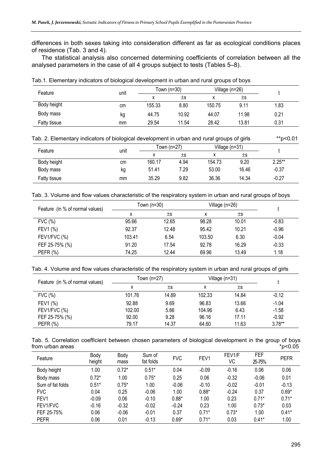differences in both sexes taking into consideration different as far as ecological conditions places of residence (Tab. 3 and 4).

The statistical analysis also concerned determining coefficients of correlation between all the analysed parameters in the case of all 4 groups subject to tests (Tables 5–8).

| Tab.1. Elementary indicators of biological development in urban and rural groups of boys |      |        |             |        |                |      |  |  |  |  |
|------------------------------------------------------------------------------------------|------|--------|-------------|--------|----------------|------|--|--|--|--|
| Feature                                                                                  | unit |        | Town (n=30) |        | Village (n=26) |      |  |  |  |  |
|                                                                                          |      |        | $\pm$ s     |        | $\pm s$        |      |  |  |  |  |
| Body height                                                                              | cm   | 155.33 | 8.80        | 150.75 | 9.11           | 1.83 |  |  |  |  |
| Body mass                                                                                | kg   | 44.75  | 10.92       | 44.07  | 11.98          | 0.21 |  |  |  |  |
| Fatty tissue                                                                             | mm   | 29.54  | 11.54       | 28.42  | 13.81          | 0.31 |  |  |  |  |

|  | Tab. 2. Elementary indicators of biological development in urban and rural groups of girls | **p<0.01 |
|--|--------------------------------------------------------------------------------------------|----------|
|  |                                                                                            |          |

| Feature      | unit |        | Town (n=27) | Village (n=31) |       |          |
|--------------|------|--------|-------------|----------------|-------|----------|
|              |      | ́      | ±s          |                | ±s    |          |
| Body height  | cm   | 160.17 | 4.94        | 154.73         | 9.20  | $2.25**$ |
| Body mass    | kg   | 51.41  | 7.29        | 53.00          | 16.46 | $-0.37$  |
| Fatty tissue | mm   | 35.29  | 9.82        | 36.36          | 14.34 | $-0.27$  |

Tab. 3. Volume and flow values characteristic of the respiratory system in urban and rural groups of boys

| Feature (in % of normal values) |        | Town (n=30) | Village $(n=26)$ |       |         |
|---------------------------------|--------|-------------|------------------|-------|---------|
|                                 | x      | $\pm$ s     | х                | ±s    |         |
| FVC (%)                         | 95.66  | 12.65       | 98.28            | 10.01 | $-0.83$ |
| FEV1 (%)                        | 92.37  | 12.48       | 95.42            | 10.21 | $-0.96$ |
| FEV1/FVC (%)                    | 103.41 | 6.54        | 103.50           | 6.30  | $-0.04$ |
| FEF 25-75% (%)                  | 91.20  | 17.54       | 92.78            | 16.29 | $-0.33$ |
| PEFR (%)                        | 74.25  | 12.44       | 69.96            | 13.49 | 1.18    |
|                                 |        |             |                  |       |         |

Tab. 4. Volume and flow values characteristic of the respiratory system in urban and rural groups of girls

| Feature (in % of normal values) | Town (n=27) |         | Village $(n=31)$ |         |          |
|---------------------------------|-------------|---------|------------------|---------|----------|
|                                 |             | $\pm s$ | х                | $\pm s$ |          |
| FVC (%)                         | 101.76      | 14.89   | 102.33           | 14.84   | $-0.12$  |
| FEV1 (%)                        | 92.88       | 9.69    | 96.83            | 13.66   | $-1.04$  |
| FEV1/FVC (%)                    | 102.00      | 5.66    | 104.96           | 6.43    | $-1.58$  |
| FEF 25-75% (%)                  | 92.00       | 9.28    | 96.16            | 17.11   | $-0.92$  |
| PEFR $(%)$                      | 79.17       | 14.37   | 64.60            | 11.63   | $3.78**$ |

|  |                  |  |  | Tab. 5. Correlation coefficient between chosen parameters of biological development in the group of boys |  |         |
|--|------------------|--|--|----------------------------------------------------------------------------------------------------------|--|---------|
|  | from urban areas |  |  |                                                                                                          |  | *p<0.05 |

| Feature          | Body<br>height | Body<br>mass | Sum of<br>fat folds | <b>FVC</b> | FEV1    | FEV1/F<br>VC | <b>FEF</b><br>25-75% | <b>PEFR</b> |
|------------------|----------------|--------------|---------------------|------------|---------|--------------|----------------------|-------------|
| Body height      | 1.00           | $0.72*$      | $0.51*$             | 0.04       | $-0.09$ | $-0.16$      | 0.06                 | 0.06        |
| Body mass        | $0.72*$        | 1.00         | $0.75*$             | 0.25       | 0.06    | $-0.32$      | $-0.06$              | 0.01        |
| Sum of fat folds | $0.51*$        | $0.75*$      | 1.00                | $-0.06$    | $-0.10$ | $-0.02$      | $-0.01$              | $-0.13$     |
| <b>FVC</b>       | 0.04           | 0.25         | $-0.06$             | 1.00       | $0.88*$ | $-0.24$      | 0.37                 | $0.69*$     |
| FEV1             | $-0.09$        | 0.06         | $-0.10$             | $0.88*$    | 1.00    | 0.23         | $0.71*$              | $0.71*$     |
| FEV1/FVC         | $-0.16$        | $-0.32$      | $-0.02$             | $-0.24$    | 0.23    | 1.00         | $0.73*$              | 0.03        |
| FEF 25-75%       | 0.06           | $-0.06$      | $-0.01$             | 0.37       | $0.71*$ | $0.73*$      | 1.00                 | $0.41*$     |
| <b>PEFR</b>      | 0.06           | 0.01         | $-0.13$             | $0.69*$    | $0.71*$ | 0.03         | $0.41*$              | 1.00        |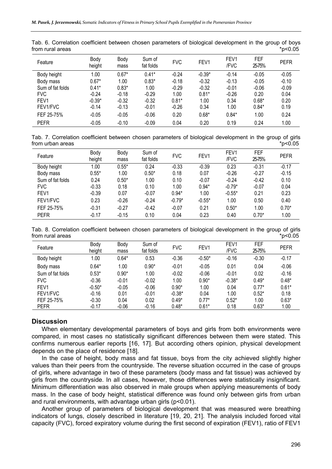| Feature          | Body<br>height | Body<br>mass | Sum of<br>fat folds | <b>FVC</b> | FEV <sub>1</sub> | FEV1<br>/FVC | <b>FEF</b><br>25-75% | <b>PEFR</b> |
|------------------|----------------|--------------|---------------------|------------|------------------|--------------|----------------------|-------------|
| Body height      | 1.00           | $0.67*$      | $0.41*$             | $-0.24$    | $-0.39*$         | $-0.14$      | $-0.05$              | $-0.05$     |
| Body mass        | $0.67*$        | 1.00         | $0.83*$             | $-0.18$    | $-0.32$          | $-0.13$      | $-0.05$              | $-0.10$     |
| Sum of fat folds | $0.41*$        | $0.83*$      | 1.00                | $-0.29$    | $-0.32$          | $-0.01$      | $-0.06$              | $-0.09$     |
| <b>FVC</b>       | $-0.24$        | $-0.18$      | $-0.29$             | 1.00       | $0.81*$          | $-0.26$      | 0.20                 | 0.04        |
| FEV1             | $-0.39*$       | $-0.32$      | $-0.32$             | $0.81*$    | 1.00             | 0.34         | $0.68*$              | 0.20        |
| FEV1/FVC         | $-0.14$        | $-0.13$      | $-0.01$             | $-0.26$    | 0.34             | 1.00         | $0.84*$              | 0.19        |
| FEF 25-75%       | $-0.05$        | $-0.05$      | $-0.06$             | 0.20       | $0.68*$          | $0.84*$      | 1.00                 | 0.24        |
| <b>PEFR</b>      | $-0.05$        | $-0.10$      | $-0.09$             | 0.04       | 0.20             | 0.19         | 0.24                 | 1.00        |

Tab. 6. Correlation coefficient between chosen parameters of biological development in the group of boys from rural areas \*p<0.05

Tab. 7. Correlation coefficient between chosen parameters of biological development in the group of girls from urban areas  $*p<0.05$ 

| Feature          | Body<br>height | Body<br>mass | Sum of<br>fat folds | <b>FVC</b> | FEV1     | FEV <sub>1</sub><br>/FVC | <b>FEF</b><br>25-75% | <b>PEFR</b> |
|------------------|----------------|--------------|---------------------|------------|----------|--------------------------|----------------------|-------------|
| Body height      | 1.00           | $0.55*$      | 0.24                | $-0.33$    | $-0.39$  | 0.23                     | $-0.31$              | $-0.17$     |
| Body mass        | $0.55*$        | 1.00         | $0.50*$             | 0.18       | 0.07     | $-0.26$                  | $-0.27$              | $-0.15$     |
| Sum of fat folds | 0.24           | $0.50*$      | 1.00                | 0.10       | $-0.07$  | $-0.24$                  | $-0.42$              | 0.10        |
| <b>FVC</b>       | $-0.33$        | 0.18         | 0.10                | 1.00       | $0.94*$  | $-0.79*$                 | $-0.07$              | 0.04        |
| FEV <sub>1</sub> | $-0.39$        | 0.07         | $-0.07$             | $0.94*$    | 1.00     | $-0.55*$                 | 0.21                 | 0.23        |
| FEV1/FVC         | 0.23           | $-0.26$      | $-0.24$             | $-0.79*$   | $-0.55*$ | 1.00                     | 0.50                 | 0.40        |
| FEF 25-75%       | $-0.31$        | $-0.27$      | $-0.42$             | $-0.07$    | 0.21     | $0.50*$                  | 1.00                 | $0.70*$     |
| <b>PEFR</b>      | $-0.17$        | $-0.15$      | 0.10                | 0.04       | 0.23     | 0.40                     | $0.70*$              | 1.00        |

Tab. 8. Correlation coefficient between chosen parameters of biological development in the group of girls from rural areas  $*$ p<0.05

| Feature          | Body<br>height | Body<br>mass | Sum of<br>fat folds | <b>FVC</b> | FEV1     | FEV1<br>/FVC | <b>FEF</b><br>25-75% | <b>PEFR</b> |
|------------------|----------------|--------------|---------------------|------------|----------|--------------|----------------------|-------------|
| Body height      | 1.00           | $0.64*$      | 0.53                | $-0.36$    | $-0.50*$ | $-0.16$      | $-0.30$              | $-0.17$     |
| Body mass        | $0.64*$        | 1.00         | $0.90*$             | $-0.01$    | $-0.05$  | 0.01         | 0.04                 | $-0.06$     |
| Sum of fat folds | $0.53*$        | $0.90*$      | 1.00                | $-0.02$    | $-0.06$  | $-0.01$      | 0.02                 | $-0.16$     |
| <b>FVC</b>       | $-0.36$        | $-0.01$      | $-0.02$             | 1.00       | $0.90*$  | $-0.38*$     | $0.49*$              | $0.48*$     |
| FEV1             | $-0.50*$       | $-0.05$      | $-0.06$             | $0.90*$    | 1.00     | 0.04         | $0.77*$              | $0.61*$     |
| FEV1/FVC         | $-0.16$        | 0.01         | $-0.01$             | $-0.38*$   | 0.04     | 1.00         | $0.52*$              | 0.18        |
| FEF 25-75%       | $-0.30$        | 0.04         | 0.02                | $0.49*$    | $0.77*$  | $0.52*$      | 1.00                 | $0.63*$     |
| <b>PEFR</b>      | $-0.17$        | $-0.06$      | $-0.16$             | $0.48*$    | $0.61*$  | 0.18         | $0.63*$              | 1.00        |

#### **Discussion**

When elementary developmental parameters of boys and girls from both environments were compared, in most cases no statistically significant differences between them were stated. This confirms numerous earlier reports [16, 17]. But according others opinion, physical development depends on the place of residence [18].

In the case of height, body mass and fat tissue, boys from the city achieved slightly higher values than their peers from the countryside. The reverse situation occurred in the case of groups of girls, where advantage in two of these parameters (body mass and fat tissue) was achieved by girls from the countryside. In all cases, however, those differences were statistically insignificant. Minimum differentiation was also observed in male groups when applying measurements of body mass. In the case of body height, statistical difference was found only between girls from urban and rural environments, with advantage urban girls (p<0.01).

Another group of parameters of biological development that was measured were breathing indicators of lungs, closely described in literature [19, 20, 21]. The analysis included forced vital capacity (FVC), forced expiratory volume during the first second of expiration (FEV1), ratio of FEV1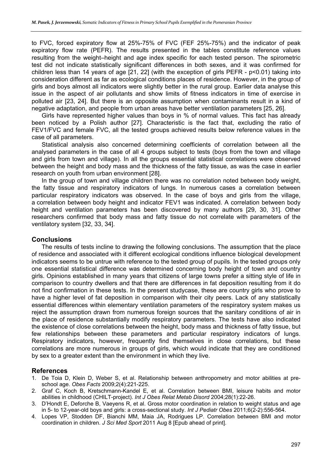to FVC, forced expiratory flow at 25%-75% of FVC (FEF 25%-75%) and the indicator of peak expiratory flow rate (PEFR). The results presented in the tables constitute reference values resulting from the weight–height and age index specific for each tested person. The spirometric test did not indicate statistically significant differences in both sexes, and it was confirmed for children less than 14 years of age [21, 22] (with the exception of girls PEFR - p<0.01) taking into consideration different as far as ecological conditions places of residence. However, in the group of girls and boys almost all indicators were slightly better in the rural group. Earlier data analyse this issue in the aspect of air pollutants and show limits of fitness indicators in time of exercise in polluted air [23, 24]. But there is an opposite assumption when contaminants result in a kind of negative adaptation, and people from urban areas have better ventilation parameters [25, 26].

Girls have represented higher values than boys in % of normal values. This fact has already been noticed by a Polish author [27]. Characteristic is the fact that, excluding the ratio of FEV1/FVC and female FVC, all the tested groups achieved results below reference values in the case of all parameters.

Statistical analysis also concerned determining coefficients of correlation between all the analysed parameters in the case of all 4 groups subject to tests (boys from the town and village and girls from town and village). In all the groups essential statistical correlations were observed between the height and body mass and the thickness of the fatty tissue, as was the case in earlier research on youth from urban environment [28].

In the group of town and village children there was no correlation noted between body weight, the fatty tissue and respiratory indicators of lungs. In numerous cases a correlation between particular respiratory indicators was observed. In the case of boys and girls from the village, a correlation between body height and indicator FEV1 was indicated. A correlation between body height and ventilation parameters has been discovered by many authors [29, 30, 31]. Other researchers confirmed that body mass and fatty tissue do not correlate with parameters of the ventilatory system [32, 33, 34].

## **Conclusions**

The results of tests incline to drawing the following conclusions. The assumption that the place of residence and associated with it different ecological conditions influence biological development indicators seems to be untrue with reference to the tested group of pupils. In the tested groups only one essential statistical difference was determined concerning body height of town and country girls. Opinions established in many years that citizens of large towns prefer a sitting style of life in comparison to country dwellers and that there are differences in fat deposition resulting from it do not find confirmation in these tests. In the present studycase, these are country girls who prove to have a higher level of fat deposition in comparison with their city peers. Lack of any statistically essential differences within elementary ventilation parameters of the respiratory system makes us reject the assumption drawn from numerous foreign sources that the sanitary conditions of air in the place of residence substantially modify respiratory parameters. The tests have also indicated the existence of close correlations between the height, body mass and thickness of fatty tissue, but few relationships between these parameters and particular respiratory indicators of lungs. Respiratory indicators, however, frequently find themselves in close correlations, but these correlations are more numerous in groups of girls, which would indicate that they are conditioned by sex to a greater extent than the environment in which they live.

## **References**

- 1. De Toia D, Klein D, Weber S, et al. Relationship between anthropometry and motor abilities at preschool age. *Obes Facts* 2009;2(4):221-225.
- 2. Graf C, Koch B, Kretschmann-Kandel E, et al. Correlation between BMI, leisure habits and motor abilities in childhood (CHILT-project). *Int J Obes Relat Metab Disord* 2004;28(1):22-26.
- 3. D'Hondt E, Deforche B, Vaeyens R, et al. Gross motor coordination in relation to weight status and age in 5- to 12-year-old boys and girls: a cross-sectional study. *Int J Pediatr Obes* 2011;6(2-2):556-564.
- 4. Lopes VP, Stodden DF, Bianchi MM, Maia JA, Rodrigues LP. Correlation between BMI and motor coordination in children. *J Sci Med Sport* 2011 Aug 8 [Epub ahead of print].